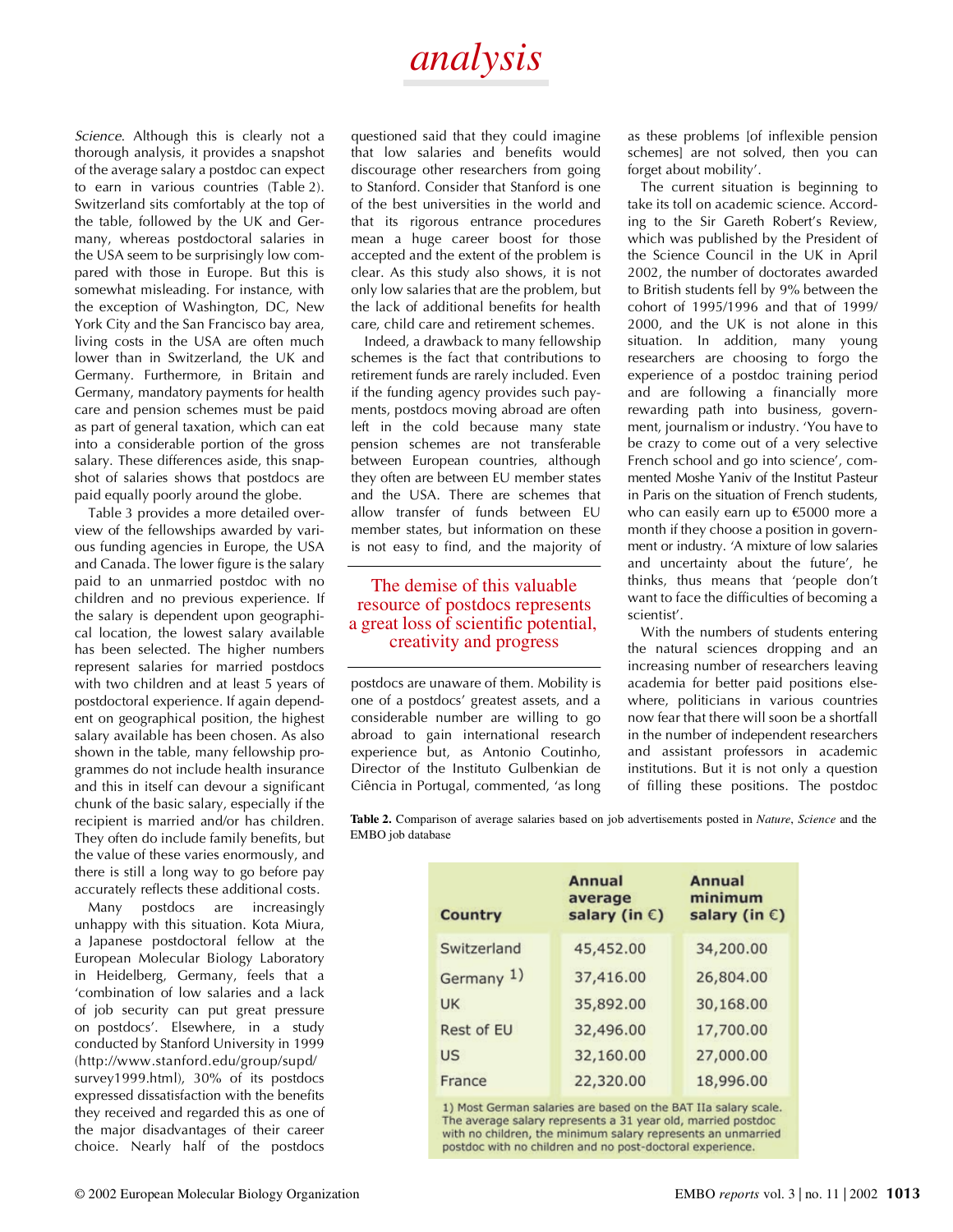## *analysis*

*Science*. Although this is clearly not a thorough analysis, it provides a snapshot of the average salary a postdoc can expect to earn in various countries (Table 2). Switzerland sits comfortably at the top of the table, followed by the UK and Germany, whereas postdoctoral salaries in the USA seem to be surprisingly low compared with those in Europe. But this is somewhat misleading. For instance, with the exception of Washington, DC, New York City and the San Francisco bay area, living costs in the USA are often much lower than in Switzerland, the UK and Germany. Furthermore, in Britain and Germany, mandatory payments for health care and pension schemes must be paid as part of general taxation, which can eat into a considerable portion of the gross salary. These differences aside, this snapshot of salaries shows that postdocs are paid equally poorly around the globe.

Table 3 provides a more detailed overview of the fellowships awarded by various funding agencies in Europe, the USA and Canada. The lower figure is the salary paid to an unmarried postdoc with no children and no previous experience. If the salary is dependent upon geographical location, the lowest salary available has been selected. The higher numbers represent salaries for married postdocs with two children and at least 5 years of postdoctoral experience. If again dependent on geographical position, the highest salary available has been chosen. As also shown in the table, many fellowship programmes do not include health insurance and this in itself can devour a significant chunk of the basic salary, especially if the recipient is married and/or has children. They often do include family benefits, but the value of these varies enormously, and there is still a long way to go before pay accurately reflects these additional costs.

Many postdocs are increasingly unhappy with this situation. Kota Miura, a Japanese postdoctoral fellow at the European Molecular Biology Laboratory in Heidelberg, Germany, feels that a 'combination of low salaries and a lack of job security can put great pressure on postdocs'. Elsewhere, in a study conducted by Stanford University in 1999 (http://www.stanford.edu/group/supd/ survey1999.html), 30% of its postdocs expressed dissatisfaction with the benefits they received and regarded this as one of the major disadvantages of their career choice. Nearly half of the postdocs

questioned said that they could imagine that low salaries and benefits would discourage other researchers from going to Stanford. Consider that Stanford is one of the best universities in the world and that its rigorous entrance procedures mean a huge career boost for those accepted and the extent of the problem is clear. As this study also shows, it is not only low salaries that are the problem, but the lack of additional benefits for health care, child care and retirement schemes.

Indeed, a drawback to many fellowship schemes is the fact that contributions to retirement funds are rarely included. Even if the funding agency provides such payments, postdocs moving abroad are often left in the cold because many state pension schemes are not transferable between European countries, although they often are between EU member states and the USA. There are schemes that allow transfer of funds between EU member states, but information on these is not easy to find, and the majority of

#### The demise of this valuable resource of postdocs represents a great loss of scientific potential, creativity and progress

postdocs are unaware of them. Mobility is one of a postdocs' greatest assets, and a considerable number are willing to go abroad to gain international research experience but, as Antonio Coutinho, Director of the Instituto Gulbenkian de Ciência in Portugal, commented, 'as long

as these problems [of inflexible pension schemes] are not solved, then you can forget about mobility'.

The current situation is beginning to take its toll on academic science. According to the Sir Gareth Robert's Review, which was published by the President of the Science Council in the UK in April 2002, the number of doctorates awarded to British students fell by 9% between the cohort of 1995/1996 and that of 1999/ 2000, and the UK is not alone in this situation. In addition, many young researchers are choosing to forgo the experience of a postdoc training period and are following a financially more rewarding path into business, government, journalism or industry. 'You have to be crazy to come out of a very selective French school and go into science', commented Moshe Yaniv of the Institut Pasteur in Paris on the situation of French students, who can easily earn up to €5000 more a month if they choose a position in government or industry. 'A mixture of low salaries and uncertainty about the future', he thinks, thus means that 'people don't want to face the difficulties of becoming a scientist'.

With the numbers of students entering the natural sciences dropping and an increasing number of researchers leaving academia for better paid positions elsewhere, politicians in various countries now fear that there will soon be a shortfall in the number of independent researchers and assistant professors in academic institutions. But it is not only a question of filling these positions. The postdoc

**Table 2.** Comparison of average salaries based on job advertisements posted in *Nature*, *Science* and the EMBO job database

| Country     | Annual<br>average<br>salary (in $\varepsilon$ ) | Annual<br>minimum<br>salary (in $\epsilon$ )<br>34,200.00 |  |  |
|-------------|-------------------------------------------------|-----------------------------------------------------------|--|--|
| Switzerland | 45,452.00                                       |                                                           |  |  |
| Germany 1)  | 37,416.00                                       | 26,804.00                                                 |  |  |
| <b>UK</b>   | 35,892.00                                       | 30,168.00                                                 |  |  |
| Rest of EU  | 32,496.00                                       | 17,700.00                                                 |  |  |
| US          | 32,160.00                                       | 27,000.00                                                 |  |  |
| France      | 22,320.00                                       | 18,996.00                                                 |  |  |

1) Most German salaries are based on the BAT IIa salary scale. The average salary represents a 31 year old, married postdoc with no children, the minimum salary represents an unmarried postdoc with no children and no post-doctoral experience.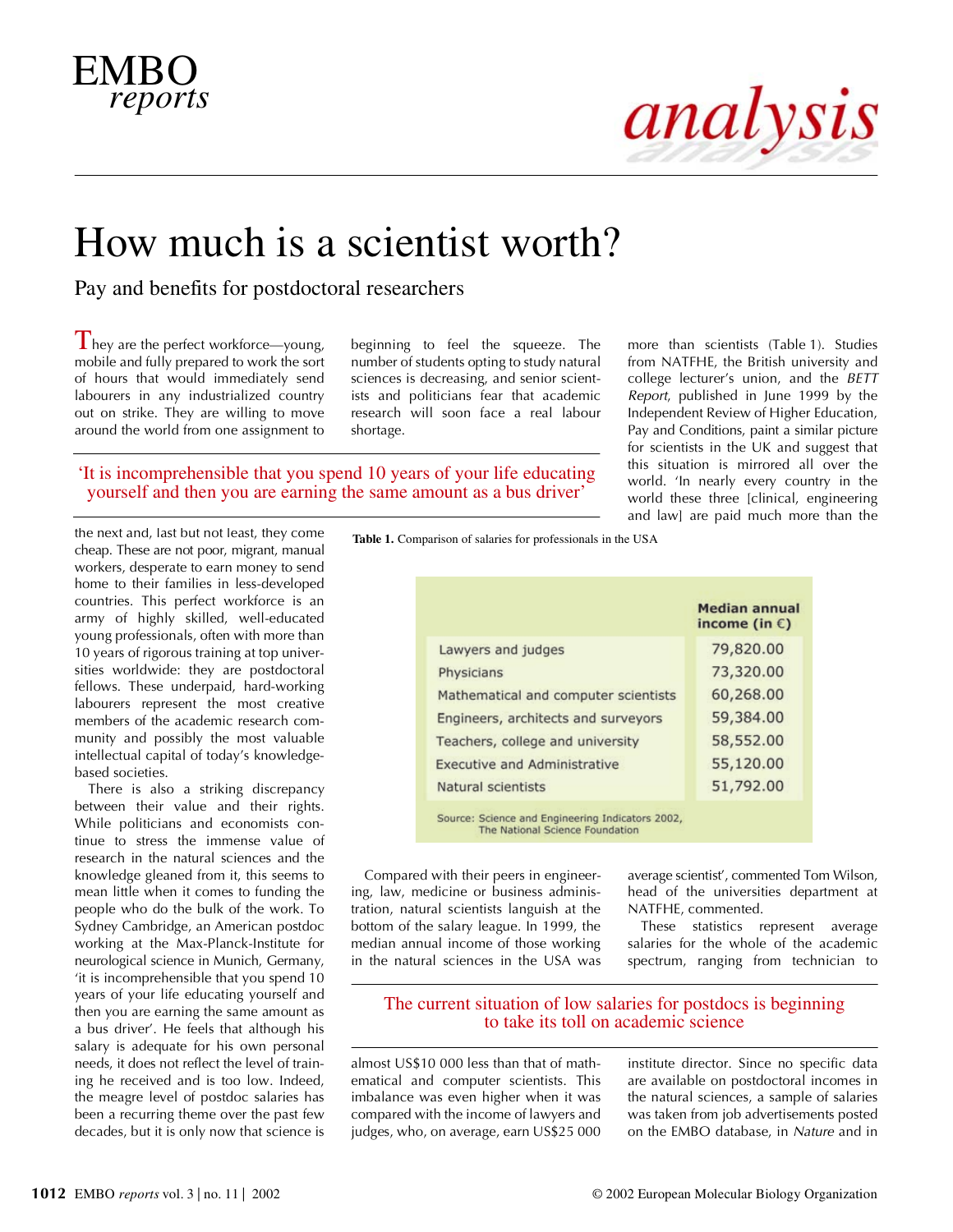## EMBO *reports*

# analysis

## How much is a scientist worth?

Pay and benefits for postdoctoral researchers

 $\Gamma$  hey are the perfect workforce—young, mobile and fully prepared to work the sort of hours that would immediately send labourers in any industrialized country out on strike. They are willing to move around the world from one assignment to

beginning to feel the squeeze. The number of students opting to study natural sciences is decreasing, and senior scientists and politicians fear that academic research will soon face a real labour shortage.

'It is incomprehensible that you spend 10 years of your life educating yourself and then you are earning the same amount as a bus driver'

more than scientists (Table 1). Studies from NATFHE, the British university and college lecturer's union, and the *BETT Report*, published in June 1999 by the Independent Review of Higher Education, Pay and Conditions, paint a similar picture for scientists in the UK and suggest that this situation is mirrored all over the world. 'In nearly every country in the world these three [clinical, engineering and law] are paid much more than the

the next and, last but not least, they come cheap. These are not poor, migrant, manual workers, desperate to earn money to send home to their families in less-developed countries. This perfect workforce is an army of highly skilled, well-educated young professionals, often with more than 10 years of rigorous training at top universities worldwide: they are postdoctoral fellows. These underpaid, hard-working labourers represent the most creative members of the academic research community and possibly the most valuable intellectual capital of today's knowledgebased societies.

There is also a striking discrepancy between their value and their rights. While politicians and economists continue to stress the immense value of research in the natural sciences and the knowledge gleaned from it, this seems to mean little when it comes to funding the people who do the bulk of the work. To Sydney Cambridge, an American postdoc working at the Max-Planck-Institute for neurological science in Munich, Germany, 'it is incomprehensible that you spend 10 years of your life educating yourself and then you are earning the same amount as a bus driver'. He feels that although his salary is adequate for his own personal needs, it does not reflect the level of training he received and is too low. Indeed, the meagre level of postdoc salaries has been a recurring theme over the past few decades, but it is only now that science is

**Table 1.** Comparison of salaries for professionals in the USA

|                                      | <b>Median annual</b><br>income (in $\epsilon$ ) |  |  |  |
|--------------------------------------|-------------------------------------------------|--|--|--|
| Lawyers and judges                   | 79,820.00                                       |  |  |  |
| Physicians                           | 73,320.00                                       |  |  |  |
| Mathematical and computer scientists | 60,268.00                                       |  |  |  |
| Engineers, architects and surveyors  | 59,384.00                                       |  |  |  |
| Teachers, college and university     | 58,552.00                                       |  |  |  |
| <b>Executive and Administrative</b>  | 55,120.00                                       |  |  |  |
| Natural scientists                   | 51,792.00                                       |  |  |  |

Source: Science and Engineering Indicators 2002, The National Science Foundation

Compared with their peers in engineering, law, medicine or business administration, natural scientists languish at the bottom of the salary league. In 1999, the median annual income of those working in the natural sciences in the USA was

average scientist', commented Tom Wilson, head of the universities department at NATFHE, commented.

These statistics represent average salaries for the whole of the academic spectrum, ranging from technician to

### The current situation of low salaries for postdocs is beginning to take its toll on academic science

almost US\$10 000 less than that of mathematical and computer scientists. This imbalance was even higher when it was compared with the income of lawyers and judges, who, on average, earn US\$25 000 institute director. Since no specific data are available on postdoctoral incomes in the natural sciences, a sample of salaries was taken from job advertisements posted on the EMBO database, in *Nature* and in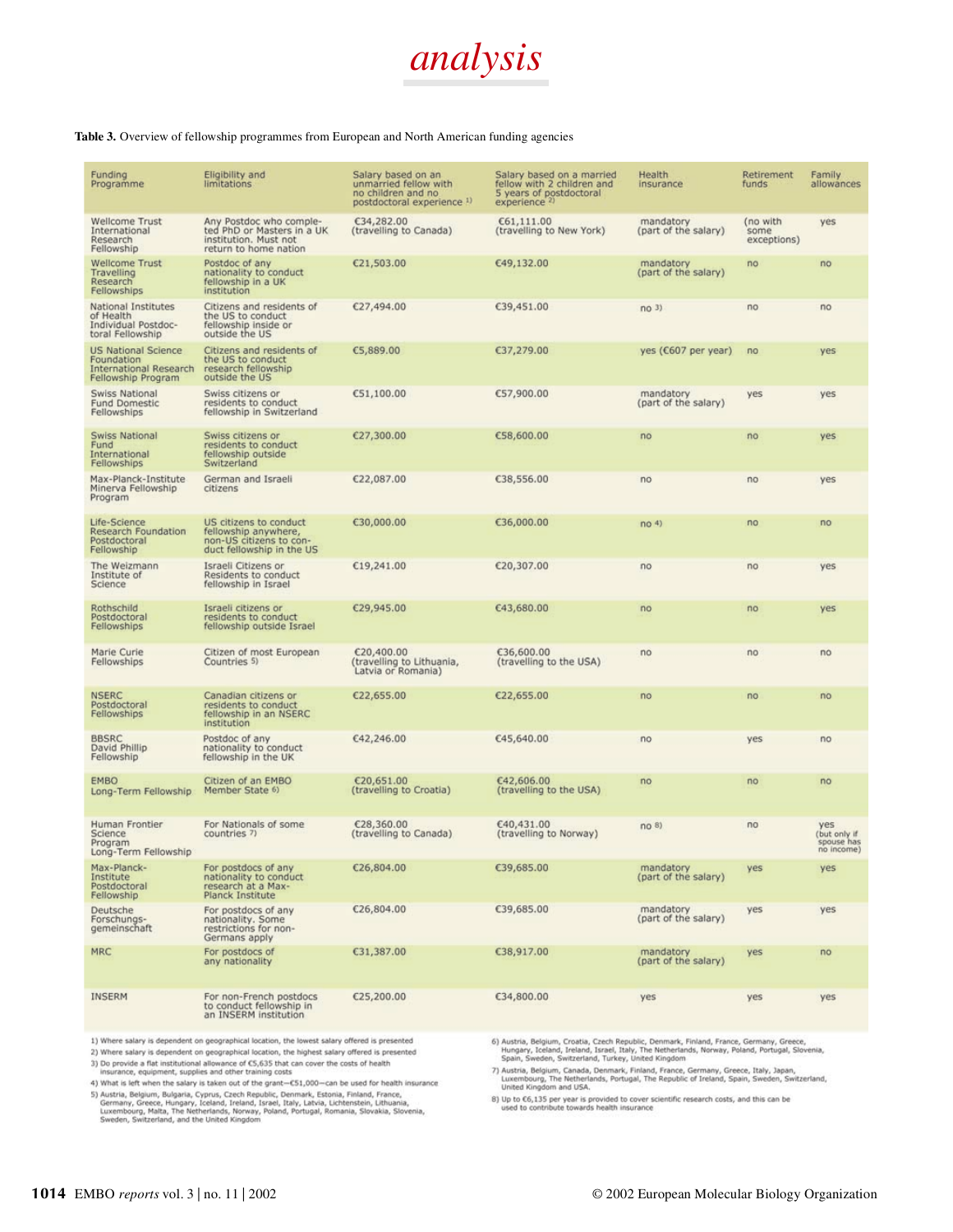

#### Table 3. Overview of fellowship programmes from European and North American funding agencies

| Funding<br>Programme                                                                            | Eligibility and<br>limitations                                                                          | Salary based on an<br>unmarried fellow with<br>no children and no<br>postdoctoral experience 1) | Salary based on a married<br>fellow with 2 children and<br>5 years of postdoctoral<br>experience <sup>2)</sup> | Health<br>insurance               | Retirement<br>funds             | Family<br>allowances                            |
|-------------------------------------------------------------------------------------------------|---------------------------------------------------------------------------------------------------------|-------------------------------------------------------------------------------------------------|----------------------------------------------------------------------------------------------------------------|-----------------------------------|---------------------------------|-------------------------------------------------|
| Wellcome Trust<br>International<br>Research<br>Fellowship                                       | Any Postdoc who comple-<br>ted PhD or Masters in a UK<br>institution. Must not<br>return to home nation | €34,282.00<br>(travelling to Canada)                                                            | €61,111.00<br>(travelling to New York)                                                                         | mandatory<br>(part of the salary) | (no with<br>some<br>exceptions) | yes                                             |
| <b>Wellcome Trust</b><br>Travelling<br>Research<br>Fellowships                                  | Postdoc of any<br>nationality to conduct<br>fellowship in a UK<br>institution                           | €21,503.00                                                                                      | €49,132.00                                                                                                     | mandatory<br>(part of the salary) | no                              | no                                              |
| National Institutes<br>of Health<br>Individual Postdoc-<br>toral Fellowship                     | Citizens and residents of<br>the US to conduct<br>fellowship inside or<br>outside the US                | €27,494.00                                                                                      | €39,451.00                                                                                                     | no <sub>3</sub>                   | no                              | no                                              |
| <b>US National Science</b><br>Foundation<br><b>International Research</b><br>Fellowship Program | Citizens and residents of<br>the US to conduct<br>research fellowship<br>outside the US                 | €5,889.00                                                                                       | €37,279.00                                                                                                     | yes (€607 per year)               | no                              | yes                                             |
| Swiss National<br><b>Fund Domestic</b><br>Fellowships                                           | Swiss citizens or<br>residents to conduct<br>fellowship in Switzerland                                  | €51,100.00                                                                                      | €57,900.00                                                                                                     | mandatory<br>(part of the salary) | yes                             | yes                                             |
| Swiss National<br>Fund<br>International<br>Fellowships                                          | Swiss citizens or<br>residents to conduct<br>fellowship outside<br>Switzerland                          | €27,300.00                                                                                      | €58,600.00                                                                                                     | no                                | no                              | yes                                             |
| Max-Planck-Institute<br>Minerva Fellowship<br>Program                                           | German and Israeli<br>citizens                                                                          | €22,087.00                                                                                      | €38,556.00                                                                                                     | no                                | no                              | yes                                             |
| Life-Science<br>Research Foundation<br>Postdoctoral<br>Fellowship                               | US citizens to conduct<br>fellowship anywhere,<br>non-US citizens to con-<br>duct fellowship in the US  | €30,000.00                                                                                      | €36,000.00                                                                                                     | no <sub>4</sub>                   | no                              | no                                              |
| The Weizmann<br>Institute of<br><b>Science</b>                                                  | Israeli Citizens or<br>Residents to conduct<br>fellowship in Israel                                     | €19,241.00                                                                                      | €20,307.00                                                                                                     | no                                | no                              | yes                                             |
| Rothschild<br>Postdoctoral<br>Fellowships                                                       | Israeli citizens or<br>residents to conduct<br>fellowship outside Israel                                | €29,945.00                                                                                      | €43,680.00                                                                                                     | no                                | no                              | yes                                             |
| Marie Curie<br>Fellowships                                                                      | Citizen of most European<br>Countries 5)                                                                | C20,400.00<br>(travelling to Lithuania,<br>Latvia or Romania)                                   | €36,600.00<br>(travelling to the USA)                                                                          | no                                | no                              | no                                              |
| NSERC<br>Postdoctoral<br>Fellowships                                                            | Canadian citizens or<br>residents to conduct<br>fellowship in an NSERC<br>institution                   | €22,655.00                                                                                      | €22,655.00                                                                                                     | no                                | no                              | no                                              |
| <b>BBSRC</b><br>David Phillip<br>Fellowship                                                     | Postdoc of any<br>nationality to conduct<br>fellowship in the UK                                        | €42,246.00                                                                                      | €45,640.00                                                                                                     | no                                | yes                             | no                                              |
| <b>EMBO</b><br>Long-Term Fellowship                                                             | Citizen of an EMBO<br>Member State 6)                                                                   | €20,651.00<br>(travelling to Croatia)                                                           | €42,606.00<br>(travelling to the USA)                                                                          | no                                | no                              | no                                              |
| Human Frontier<br>Science<br>Program<br>Long-Term Fellowship                                    | For Nationals of some<br>countries 7)                                                                   | €28,360.00<br>(travelling to Canada)                                                            | €40,431.00<br>(travelling to Norway)                                                                           | no <sub>8</sub>                   | no                              | yes<br>(but only if<br>spouse has<br>no income) |
| Max-Planck-<br>Institute<br>Postdoctoral<br>Fellowship                                          | For postdocs of any<br>nationality to conduct<br>research at a Max-<br>Planck Institute                 | €26,804.00                                                                                      | €39,685.00                                                                                                     | mandatory<br>(part of the salary) | yes                             | yes                                             |
| Deutsche<br>Forschungs-<br>gemeinschaft                                                         | For postdocs of any<br>nationality. Some<br>restrictions for non-<br>Germans apply                      | €26,804.00                                                                                      | €39,685.00                                                                                                     | mandatory<br>(part of the salary) | yes                             | yes                                             |
| <b>MRC</b>                                                                                      | For postdocs of<br>any nationality                                                                      | €31,387.00                                                                                      | €38,917.00                                                                                                     | mandatory<br>(part of the salary) | yes                             | no                                              |
| <b>INSERM</b>                                                                                   | For non-French postdocs<br>to conduct fellowship in<br>an INSERM institution                            | €25,200.00                                                                                      | €34,800.00                                                                                                     | yes                               | yes                             | yes                                             |

1) Where salary is dependent on geographical location, the lowest salary offered is presented

2) Where salary is dependent on geographical location, the highest salary offered is presented<br>3) Do provide a flat institutional allowance of C5,635 that can cover the costs of health<br>insurance, equipment, supplies and ot 4) What is left when the salary is taken out of the grant-C51,000-can be used for health insurance

5) Austria, Belgium, Bulgaria, Cyprus, Czech Republic, Denmark, Estonia, Finland, France, Germany, Greece, Hungary, Iceland, Ireland, Israel, Italy, Latvia, Lichtenstein, Lithuania, Luxembourg, Malta, The Netherlands, Norw

6) Austria, Belgium, Croatia, Czech Republic, Denmark, Finland, France, Germany, Greece, Hungary, Iceland, Ireland, Israel, Italy, The Netherlands, Norway, Poland, Portugal, Slovenia, Spain, Sweden, Switzerland, Turkey, Un

7) Austria, Belgium, Canada, Denmark, Finland, France, Germany, Greece, Italy, Japan, Luxembourg, The Netherlands, Portugal, The Republic of Ireland, Spain, Sweden, Switzerland, United Kingdom and USA.

8) Up to  $C6,135$  per year is provided to cover scientific research costs, and this can be used to contribute towards health insurance